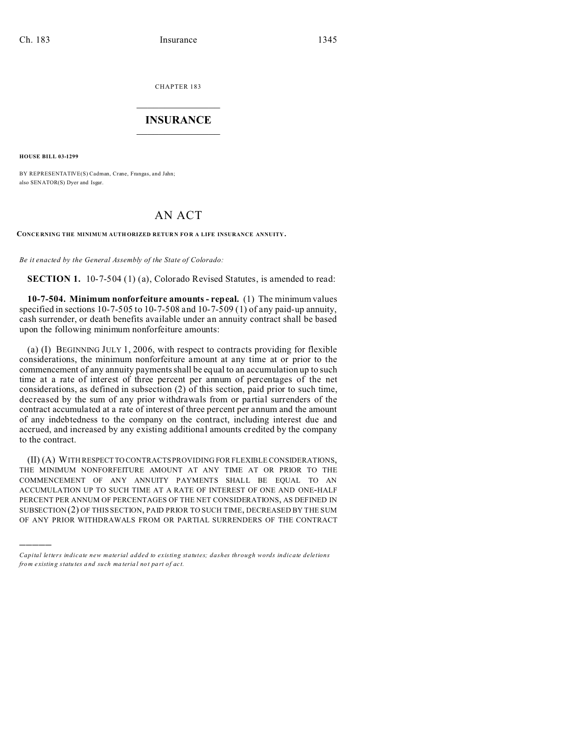CHAPTER 183  $\overline{\phantom{a}}$  , where  $\overline{\phantom{a}}$ 

## **INSURANCE**  $\_$   $\_$   $\_$   $\_$   $\_$   $\_$   $\_$

**HOUSE BILL 03-1299**

)))))

BY REPRESENTATIVE(S) Cadman, Crane, Frangas, and Jahn; also SENATOR(S) Dyer and Isgar.

## AN ACT

**CONCE RNING THE MINIMUM AUTH ORIZED RETUR N FO R A LIFE INSURANCE ANNUITY.**

*Be it enacted by the General Assembly of the State of Colorado:*

**SECTION 1.** 10-7-504 (1) (a), Colorado Revised Statutes, is amended to read:

**10-7-504. Minimum nonforfeiture amounts - repeal.** (1) The minimum values specified in sections 10-7-505 to 10-7-508 and 10-7-509 (1) of any paid-up annuity, cash surrender, or death benefits available under an annuity contract shall be based upon the following minimum nonforfeiture amounts:

(a) (I) BEGINNING JULY 1, 2006, with respect to contracts providing for flexible considerations, the minimum nonforfeiture amount at any time at or prior to the commencement of any annuity payments shall be equal to an accumulation up to such time at a rate of interest of three percent per annum of percentages of the net considerations, as defined in subsection (2) of this section, paid prior to such time, decreased by the sum of any prior withdrawals from or partial surrenders of the contract accumulated at a rate of interest of three percent per annum and the amount of any indebtedness to the company on the contract, including interest due and accrued, and increased by any existing additional amounts credited by the company to the contract.

(II) (A) WITH RESPECTTO CONTRACTS PROVIDING FOR FLEXIBLE CONSIDERATIONS, THE MINIMUM NONFORFEITURE AMOUNT AT ANY TIME AT OR PRIOR TO THE COMMENCEMENT OF ANY ANNUITY PAYMENTS SHALL BE EQUAL TO AN ACCUMULATION UP TO SUCH TIME AT A RATE OF INTEREST OF ONE AND ONE-HALF PERCENT PER ANNUM OF PERCENTAGES OF THE NET CONSIDERATIONS, AS DEFINED IN SUBSECTION (2) OF THIS SECTION, PAID PRIOR TO SUCH TIME, DECREASED BY THE SUM OF ANY PRIOR WITHDRAWALS FROM OR PARTIAL SURRENDERS OF THE CONTRACT

*Capital letters indicate new material added to existing statutes; dashes through words indicate deletions from e xistin g statu tes a nd such ma teria l no t pa rt of ac t.*